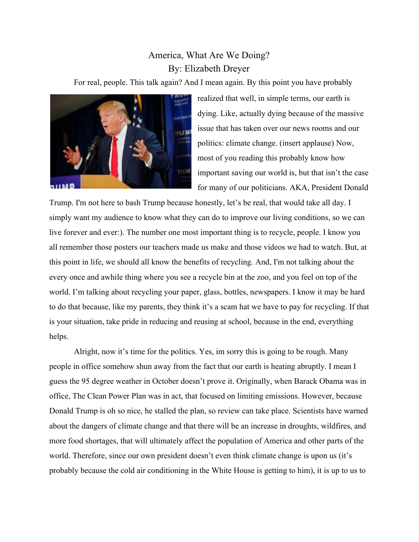## America, What Are We Doing? By: Elizabeth Dreyer

For real, people. This talk again? And I mean again. By this point you have probably



realized that well, in simple terms, our earth is dying. Like, actually dying because of the massive issue that has taken over our news rooms and our politics: climate change. (insert applause) Now, most of you reading this probably know how important saving our world is, but that isn't the case for many of our politicians. AKA, President Donald

Trump. I'm not here to bash Trump because honestly, let's be real, that would take all day. I simply want my audience to know what they can do to improve our living conditions, so we can live forever and ever:). The number one most important thing is to recycle, people. I know you all remember those posters our teachers made us make and those videos we had to watch. But, at this point in life, we should all know the benefits of recycling. And, I'm not talking about the every once and awhile thing where you see a recycle bin at the zoo, and you feel on top of the world. I'm talking about recycling your paper, glass, bottles, newspapers. I know it may be hard to do that because, like my parents, they think it's a scam hat we have to pay for recycling. If that is your situation, take pride in reducing and reusing at school, because in the end, everything helps.

Alright, now it's time for the politics. Yes, im sorry this is going to be rough. Many people in office somehow shun away from the fact that our earth is heating abruptly. I mean I guess the 95 degree weather in October doesn't prove it. Originally, when Barack Obama was in office, The Clean Power Plan was in act, that focused on limiting emissions. However, because Donald Trump is oh so nice, he stalled the plan, so review can take place. Scientists have warned about the dangers of climate change and that there will be an increase in droughts, wildfires, and more food shortages, that will ultimately affect the population of America and other parts of the world. Therefore, since our own president doesn't even think climate change is upon us (it's probably because the cold air conditioning in the White House is getting to him), it is up to us to